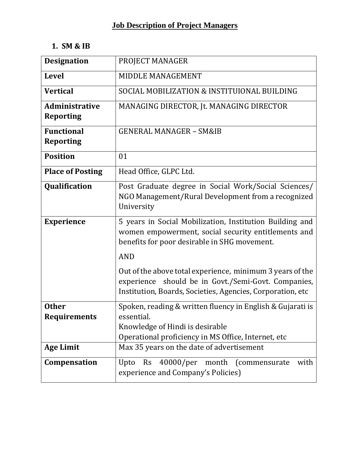# **1. SM & IB**

| <b>Designation</b>      | PROJECT MANAGER                                                                                                   |
|-------------------------|-------------------------------------------------------------------------------------------------------------------|
| <b>Level</b>            | MIDDLE MANAGEMENT                                                                                                 |
| <b>Vertical</b>         | SOCIAL MOBILIZATION & INSTITUIONAL BUILDING                                                                       |
| Administrative          | MANAGING DIRECTOR, Jt. MANAGING DIRECTOR                                                                          |
| <b>Reporting</b>        |                                                                                                                   |
| <b>Functional</b>       | <b>GENERAL MANAGER - SM&amp;IB</b>                                                                                |
| <b>Reporting</b>        |                                                                                                                   |
| <b>Position</b>         | 01                                                                                                                |
| <b>Place of Posting</b> | Head Office, GLPC Ltd.                                                                                            |
| Qualification           | Post Graduate degree in Social Work/Social Sciences/                                                              |
|                         | NGO Management/Rural Development from a recognized<br>University                                                  |
| <b>Experience</b>       | 5 years in Social Mobilization, Institution Building and<br>women empowerment, social security entitlements and   |
|                         | benefits for poor desirable in SHG movement.                                                                      |
|                         | <b>AND</b>                                                                                                        |
|                         | Out of the above total experience, minimum 3 years of the                                                         |
|                         | experience should be in Govt./Semi-Govt. Companies,<br>Institution, Boards, Societies, Agencies, Corporation, etc |
| <b>Other</b>            | Spoken, reading & written fluency in English & Gujarati is                                                        |
| <b>Requirements</b>     | essential.                                                                                                        |
|                         | Knowledge of Hindi is desirable                                                                                   |
|                         | Operational proficiency in MS Office, Internet, etc                                                               |
| <b>Age Limit</b>        | Max 35 years on the date of advertisement                                                                         |
| Compensation            | 40000/per month (commensurate)<br>with<br>Upto<br><b>Rs</b><br>experience and Company's Policies)                 |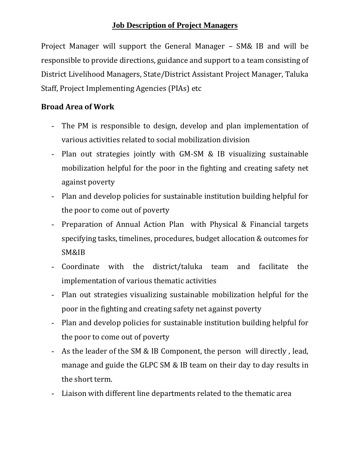Project Manager will support the General Manager – SM& IB and will be responsible to provide directions, guidance and support to a team consisting of District Livelihood Managers, State/District Assistant Project Manager, Taluka Staff, Project Implementing Agencies (PIAs) etc

- The PM is responsible to design, develop and plan implementation of various activities related to social mobilization division
- Plan out strategies jointly with GM-SM & IB visualizing sustainable mobilization helpful for the poor in the fighting and creating safety net against poverty
- Plan and develop policies for sustainable institution building helpful for the poor to come out of poverty
- Preparation of Annual Action Plan with Physical & Financial targets specifying tasks, timelines, procedures, budget allocation & outcomes for SM&IB
- Coordinate with the district/taluka team and facilitate the implementation of various thematic activities
- Plan out strategies visualizing sustainable mobilization helpful for the poor in the fighting and creating safety net against poverty
- Plan and develop policies for sustainable institution building helpful for the poor to come out of poverty
- As the leader of the SM & IB Component, the person will directly, lead, manage and guide the GLPC SM & IB team on their day to day results in the short term.
- Liaison with different line departments related to the thematic area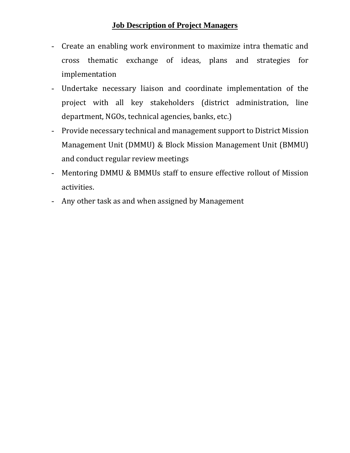- Create an enabling work environment to maximize intra thematic and cross thematic exchange of ideas, plans and strategies for implementation
- Undertake necessary liaison and coordinate implementation of the project with all key stakeholders (district administration, line department, NGOs, technical agencies, banks, etc.)
- Provide necessary technical and management support to District Mission Management Unit (DMMU) & Block Mission Management Unit (BMMU) and conduct regular review meetings
- Mentoring DMMU & BMMUs staff to ensure effective rollout of Mission activities.
- Any other task as and when assigned by Management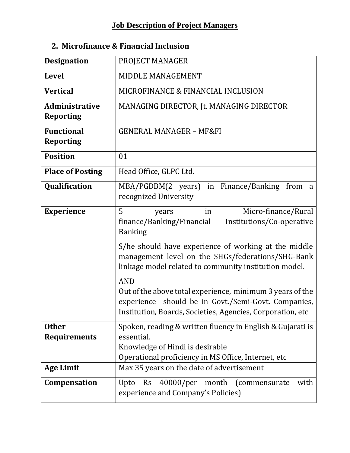| <b>Designation</b>                        | PROJECT MANAGER                                                                                                                                                                              |  |  |  |
|-------------------------------------------|----------------------------------------------------------------------------------------------------------------------------------------------------------------------------------------------|--|--|--|
| <b>Level</b>                              | MIDDLE MANAGEMENT                                                                                                                                                                            |  |  |  |
| <b>Vertical</b>                           | MICROFINANCE & FINANCIAL INCLUSION                                                                                                                                                           |  |  |  |
| <b>Administrative</b><br><b>Reporting</b> | MANAGING DIRECTOR, Jt. MANAGING DIRECTOR                                                                                                                                                     |  |  |  |
| <b>Functional</b><br><b>Reporting</b>     | <b>GENERAL MANAGER - MF&amp;FI</b>                                                                                                                                                           |  |  |  |
| <b>Position</b>                           | 01                                                                                                                                                                                           |  |  |  |
| <b>Place of Posting</b>                   | Head Office, GLPC Ltd.                                                                                                                                                                       |  |  |  |
| Qualification                             | MBA/PGDBM(2 years) in Finance/Banking from a<br>recognized University                                                                                                                        |  |  |  |
| <b>Experience</b>                         | 5<br>Micro-finance/Rural<br>in<br>years<br>finance/Banking/Financial<br>Institutions/Co-operative<br><b>Banking</b>                                                                          |  |  |  |
|                                           | S/he should have experience of working at the middle<br>management level on the SHGs/federations/SHG-Bank<br>linkage model related to community institution model.                           |  |  |  |
|                                           | <b>AND</b><br>Out of the above total experience, minimum 3 years of the<br>experience should be in Govt./Semi-Govt. Companies,<br>Institution, Boards, Societies, Agencies, Corporation, etc |  |  |  |
| <b>Other</b><br><b>Requirements</b>       | Spoken, reading & written fluency in English & Gujarati is<br>essential.<br>Knowledge of Hindi is desirable<br>Operational proficiency in MS Office, Internet, etc                           |  |  |  |
| <b>Age Limit</b>                          | Max 35 years on the date of advertisement                                                                                                                                                    |  |  |  |
| Compensation                              | 40000/per month (commensurate<br>with<br>Upto<br><b>Rs</b><br>experience and Company's Policies)                                                                                             |  |  |  |

# **2. Microfinance & Financial Inclusion**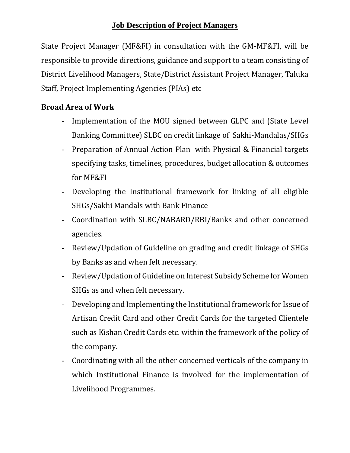State Project Manager (MF&FI) in consultation with the GM-MF&FI, will be responsible to provide directions, guidance and support to a team consisting of District Livelihood Managers, State/District Assistant Project Manager, Taluka Staff, Project Implementing Agencies (PIAs) etc

- Implementation of the MOU signed between GLPC and (State Level Banking Committee) SLBC on credit linkage of Sakhi-Mandalas/SHGs
- Preparation of Annual Action Plan with Physical & Financial targets specifying tasks, timelines, procedures, budget allocation & outcomes for MF&FI
- Developing the Institutional framework for linking of all eligible SHGs/Sakhi Mandals with Bank Finance
- Coordination with SLBC/NABARD/RBI/Banks and other concerned agencies.
- Review/Updation of Guideline on grading and credit linkage of SHGs by Banks as and when felt necessary.
- Review/Updation of Guideline on Interest Subsidy Scheme for Women SHGs as and when felt necessary.
- Developing and Implementing the Institutional framework for Issue of Artisan Credit Card and other Credit Cards for the targeted Clientele such as Kishan Credit Cards etc. within the framework of the policy of the company.
- Coordinating with all the other concerned verticals of the company in which Institutional Finance is involved for the implementation of Livelihood Programmes.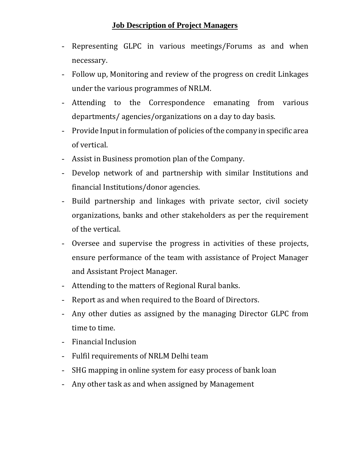- Representing GLPC in various meetings/Forums as and when necessary.
- Follow up, Monitoring and review of the progress on credit Linkages under the various programmes of NRLM.
- Attending to the Correspondence emanating from various departments/ agencies/organizations on a day to day basis.
- Provide Input in formulation of policies of the company in specific area of vertical.
- Assist in Business promotion plan of the Company.
- Develop network of and partnership with similar Institutions and financial Institutions/donor agencies.
- Build partnership and linkages with private sector, civil society organizations, banks and other stakeholders as per the requirement of the vertical.
- Oversee and supervise the progress in activities of these projects, ensure performance of the team with assistance of Project Manager and Assistant Project Manager.
- Attending to the matters of Regional Rural banks.
- Report as and when required to the Board of Directors.
- Any other duties as assigned by the managing Director GLPC from time to time.
- Financial Inclusion
- Fulfil requirements of NRLM Delhi team
- SHG mapping in online system for easy process of bank loan
- Any other task as and when assigned by Management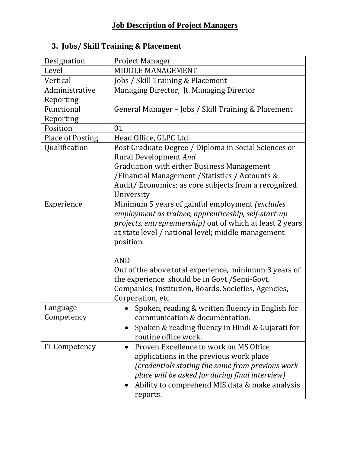| Designation             | <b>Project Manager</b>                                    |  |  |  |
|-------------------------|-----------------------------------------------------------|--|--|--|
| Level                   | MIDDLE MANAGEMENT                                         |  |  |  |
| Vertical                | Jobs / Skill Training & Placement                         |  |  |  |
| Administrative          | Managing Director, Jt. Managing Director                  |  |  |  |
| Reporting               |                                                           |  |  |  |
| Functional              | General Manager - Jobs / Skill Training & Placement       |  |  |  |
| Reporting               |                                                           |  |  |  |
| Position                | 01                                                        |  |  |  |
| <b>Place of Posting</b> | Head Office, GLPC Ltd.                                    |  |  |  |
| Qualification           | Post Graduate Degree / Diploma in Social Sciences or      |  |  |  |
|                         | <b>Rural Development And</b>                              |  |  |  |
|                         | <b>Graduation with either Business Management</b>         |  |  |  |
|                         | /Financial Management / Statistics / Accounts &           |  |  |  |
|                         | Audit/Economics; as core subjects from a recognized       |  |  |  |
|                         | University                                                |  |  |  |
| Experience              | Minimum 5 years of gainful employment (excludes           |  |  |  |
|                         | employment as trainee, apprenticeship, self-start-up      |  |  |  |
|                         | projects, entreprenuership) out of which at least 2 years |  |  |  |
|                         | at state level / national level; middle management        |  |  |  |
|                         | position.                                                 |  |  |  |
|                         |                                                           |  |  |  |
|                         | <b>AND</b>                                                |  |  |  |
|                         | Out of the above total experience, minimum 3 years of     |  |  |  |
|                         | the experience should be in Govt./Semi-Govt.              |  |  |  |
|                         | Companies, Institution, Boards, Societies, Agencies,      |  |  |  |
|                         | Corporation, etc                                          |  |  |  |
| Language                | Spoken, reading & written fluency in English for          |  |  |  |
| Competency              | communication & documentation.                            |  |  |  |
|                         | Spoken & reading fluency in Hindi & Gujarati for          |  |  |  |
|                         | routine office work.                                      |  |  |  |
| IT Competency           | Proven Excellence to work on MS Office                    |  |  |  |
|                         | applications in the previous work place                   |  |  |  |
|                         | (credentials stating the same from previous work          |  |  |  |
|                         | place will be asked for during final interview)           |  |  |  |
|                         | Ability to comprehend MIS data & make analysis            |  |  |  |
|                         | reports.                                                  |  |  |  |
|                         |                                                           |  |  |  |

# **3. Jobs/ Skill Training & Placement**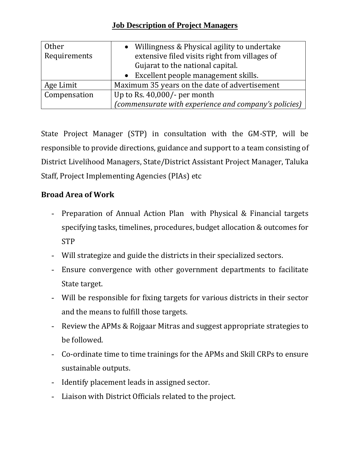| <b>Other</b> | Willingness & Physical agility to undertake           |  |
|--------------|-------------------------------------------------------|--|
| Requirements | extensive filed visits right from villages of         |  |
|              | Gujarat to the national capital.                      |  |
|              | • Excellent people management skills.                 |  |
| Age Limit    | Maximum 35 years on the date of advertisement         |  |
| Compensation | Up to Rs. $40,000/$ - per month                       |  |
|              | (commensurate with experience and company's policies) |  |

State Project Manager (STP) in consultation with the GM-STP, will be responsible to provide directions, guidance and support to a team consisting of District Livelihood Managers, State/District Assistant Project Manager, Taluka Staff, Project Implementing Agencies (PIAs) etc

- Preparation of Annual Action Plan with Physical & Financial targets specifying tasks, timelines, procedures, budget allocation & outcomes for STP
- Will strategize and guide the districts in their specialized sectors.
- Ensure convergence with other government departments to facilitate State target.
- Will be responsible for fixing targets for various districts in their sector and the means to fulfill those targets.
- Review the APMs & Rojgaar Mitras and suggest appropriate strategies to be followed.
- Co-ordinate time to time trainings for the APMs and Skill CRPs to ensure sustainable outputs.
- Identify placement leads in assigned sector.
- Liaison with District Officials related to the project.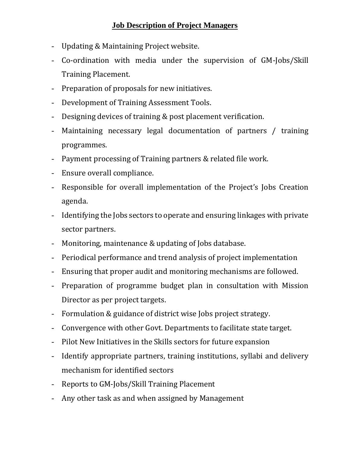- Updating & Maintaining Project website.
- Co-ordination with media under the supervision of GM-Jobs/Skill Training Placement.
- Preparation of proposals for new initiatives.
- Development of Training Assessment Tools.
- Designing devices of training & post placement verification.
- Maintaining necessary legal documentation of partners / training programmes.
- Payment processing of Training partners & related file work.
- Ensure overall compliance.
- Responsible for overall implementation of the Project's Jobs Creation agenda.
- Identifying the Jobs sectors to operate and ensuring linkages with private sector partners.
- Monitoring, maintenance & updating of Jobs database.
- Periodical performance and trend analysis of project implementation
- Ensuring that proper audit and monitoring mechanisms are followed.
- Preparation of programme budget plan in consultation with Mission Director as per project targets.
- Formulation & guidance of district wise Jobs project strategy.
- Convergence with other Govt. Departments to facilitate state target.
- Pilot New Initiatives in the Skills sectors for future expansion
- Identify appropriate partners, training institutions, syllabi and delivery mechanism for identified sectors
- Reports to GM-Jobs/Skill Training Placement
- Any other task as and when assigned by Management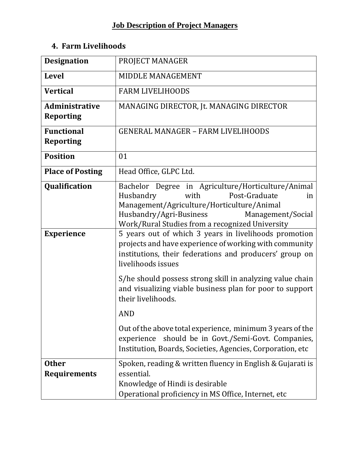# **4. Farm Livelihoods**

| <b>Designation</b>                        | PROJECT MANAGER                                                                                                                                                                                                                                 |
|-------------------------------------------|-------------------------------------------------------------------------------------------------------------------------------------------------------------------------------------------------------------------------------------------------|
| <b>Level</b>                              | MIDDLE MANAGEMENT                                                                                                                                                                                                                               |
| <b>Vertical</b>                           | <b>FARM LIVELIHOODS</b>                                                                                                                                                                                                                         |
| <b>Administrative</b><br><b>Reporting</b> | MANAGING DIRECTOR, Jt. MANAGING DIRECTOR                                                                                                                                                                                                        |
| <b>Functional</b><br><b>Reporting</b>     | <b>GENERAL MANAGER - FARM LIVELIHOODS</b>                                                                                                                                                                                                       |
| <b>Position</b>                           | 01                                                                                                                                                                                                                                              |
| <b>Place of Posting</b>                   | Head Office, GLPC Ltd.                                                                                                                                                                                                                          |
| Qualification                             | Bachelor Degree in Agriculture/Horticulture/Animal<br>Husbandry<br>Post-Graduate<br>with<br>in<br>Management/Agriculture/Horticulture/Animal<br>Husbandry/Agri-Business<br>Management/Social<br>Work/Rural Studies from a recognized University |
| <b>Experience</b>                         | 5 years out of which 3 years in livelihoods promotion<br>projects and have experience of working with community<br>institutions, their federations and producers' group on<br>livelihoods issues                                                |
|                                           | S/he should possess strong skill in analyzing value chain<br>and visualizing viable business plan for poor to support<br>their livelihoods.                                                                                                     |
|                                           | <b>AND</b>                                                                                                                                                                                                                                      |
|                                           | Out of the above total experience, minimum 3 years of the<br>should be in Govt./Semi-Govt. Companies,<br>experience<br>Institution, Boards, Societies, Agencies, Corporation, etc                                                               |
| <b>Other</b><br><b>Requirements</b>       | Spoken, reading & written fluency in English & Gujarati is<br>essential.<br>Knowledge of Hindi is desirable<br>Operational proficiency in MS Office, Internet, etc                                                                              |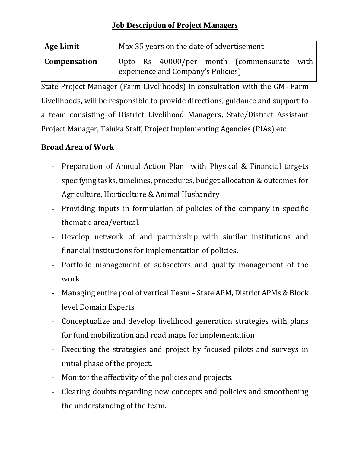| Age Limit           | Max 35 years on the date of advertisement |  |  |  |                                            |  |
|---------------------|-------------------------------------------|--|--|--|--------------------------------------------|--|
| <b>Compensation</b> |                                           |  |  |  | Upto Rs 40000/per month (commensurate with |  |
|                     | experience and Company's Policies)        |  |  |  |                                            |  |

State Project Manager (Farm Livelihoods) in consultation with the GM- Farm Livelihoods, will be responsible to provide directions, guidance and support to a team consisting of District Livelihood Managers, State/District Assistant Project Manager, Taluka Staff, Project Implementing Agencies (PIAs) etc

- Preparation of Annual Action Plan with Physical & Financial targets specifying tasks, timelines, procedures, budget allocation & outcomes for Agriculture, Horticulture & Animal Husbandry
- Providing inputs in formulation of policies of the company in specific thematic area/vertical.
- Develop network of and partnership with similar institutions and financial institutions for implementation of policies.
- Portfolio management of subsectors and quality management of the work.
- Managing entire pool of vertical Team State APM, District APMs & Block level Domain Experts
- Conceptualize and develop livelihood generation strategies with plans for fund mobilization and road maps for implementation
- Executing the strategies and project by focused pilots and surveys in initial phase of the project.
- Monitor the affectivity of the policies and projects.
- Clearing doubts regarding new concepts and policies and smoothening the understanding of the team.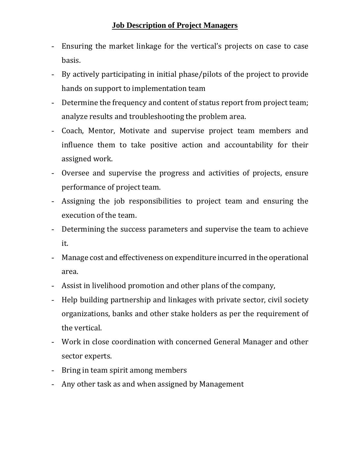- Ensuring the market linkage for the vertical's projects on case to case basis.
- By actively participating in initial phase/pilots of the project to provide hands on support to implementation team
- Determine the frequency and content of status report from project team; analyze results and troubleshooting the problem area.
- Coach, Mentor, Motivate and supervise project team members and influence them to take positive action and accountability for their assigned work.
- Oversee and supervise the progress and activities of projects, ensure performance of project team.
- Assigning the job responsibilities to project team and ensuring the execution of the team.
- Determining the success parameters and supervise the team to achieve it.
- Manage cost and effectiveness on expenditure incurred in the operational area.
- Assist in livelihood promotion and other plans of the company,
- Help building partnership and linkages with private sector, civil society organizations, banks and other stake holders as per the requirement of the vertical.
- Work in close coordination with concerned General Manager and other sector experts.
- Bring in team spirit among members
- Any other task as and when assigned by Management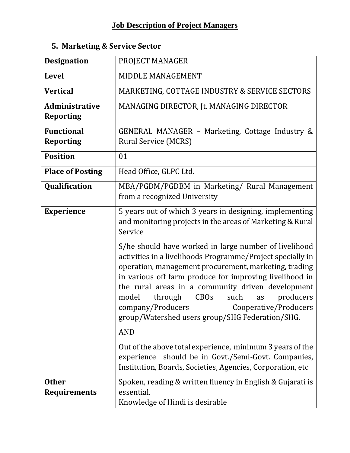|  | 5. Marketing & Service Sector |  |  |  |
|--|-------------------------------|--|--|--|
|--|-------------------------------|--|--|--|

| <b>Designation</b>                        | PROJECT MANAGER                                                                                                                                                                                                                                                                                                                                                                                                                                             |
|-------------------------------------------|-------------------------------------------------------------------------------------------------------------------------------------------------------------------------------------------------------------------------------------------------------------------------------------------------------------------------------------------------------------------------------------------------------------------------------------------------------------|
| <b>Level</b>                              | MIDDLE MANAGEMENT                                                                                                                                                                                                                                                                                                                                                                                                                                           |
| <b>Vertical</b>                           | MARKETING, COTTAGE INDUSTRY & SERVICE SECTORS                                                                                                                                                                                                                                                                                                                                                                                                               |
| <b>Administrative</b><br><b>Reporting</b> | MANAGING DIRECTOR, Jt. MANAGING DIRECTOR                                                                                                                                                                                                                                                                                                                                                                                                                    |
| <b>Functional</b>                         | GENERAL MANAGER – Marketing, Cottage Industry $\&$                                                                                                                                                                                                                                                                                                                                                                                                          |
| <b>Reporting</b>                          | <b>Rural Service (MCRS)</b>                                                                                                                                                                                                                                                                                                                                                                                                                                 |
| <b>Position</b>                           | 01                                                                                                                                                                                                                                                                                                                                                                                                                                                          |
| <b>Place of Posting</b>                   | Head Office, GLPC Ltd.                                                                                                                                                                                                                                                                                                                                                                                                                                      |
| Qualification                             | MBA/PGDM/PGDBM in Marketing/ Rural Management<br>from a recognized University                                                                                                                                                                                                                                                                                                                                                                               |
| <b>Experience</b>                         | 5 years out of which 3 years in designing, implementing<br>and monitoring projects in the areas of Marketing & Rural<br>Service                                                                                                                                                                                                                                                                                                                             |
|                                           | S/he should have worked in large number of livelihood<br>activities in a livelihoods Programme/Project specially in<br>operation, management procurement, marketing, trading<br>in various off farm produce for improving livelihood in<br>the rural areas in a community driven development<br><b>CBOs</b><br>model<br>through<br>such<br>producers<br>as<br>company/Producers<br>Cooperative/Producers<br>group/Watershed users group/SHG Federation/SHG. |
|                                           | <b>AND</b>                                                                                                                                                                                                                                                                                                                                                                                                                                                  |
|                                           | Out of the above total experience, minimum 3 years of the<br>should be in Govt./Semi-Govt. Companies,<br>experience<br>Institution, Boards, Societies, Agencies, Corporation, etc                                                                                                                                                                                                                                                                           |
| <b>Other</b><br><b>Requirements</b>       | Spoken, reading & written fluency in English & Gujarati is<br>essential.<br>Knowledge of Hindi is desirable                                                                                                                                                                                                                                                                                                                                                 |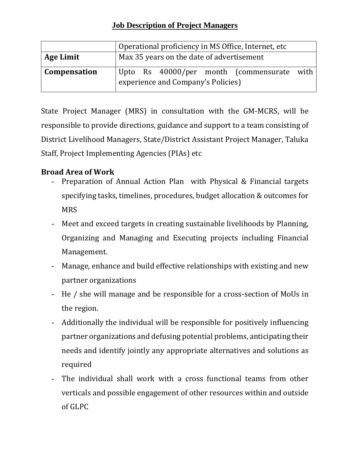|                  | Operational proficiency in MS Office, Internet, etc                              |  |  |  |
|------------------|----------------------------------------------------------------------------------|--|--|--|
| <b>Age Limit</b> | Max 35 years on the date of advertisement                                        |  |  |  |
| Compensation     | Upto Rs 40000/per month (commensurate with<br>experience and Company's Policies) |  |  |  |

State Project Manager (MRS) in consultation with the GM-MCRS, will be responsible to provide directions, guidance and support to a team consisting of District Livelihood Managers, State/District Assistant Project Manager, Taluka Staff, Project Implementing Agencies (PIAs) etc

- Preparation of Annual Action Plan with Physical & Financial targets specifying tasks, timelines, procedures, budget allocation & outcomes for **MRS**
- Meet and exceed targets in creating sustainable livelihoods by Planning, Organizing and Managing and Executing projects including Financial Management.
- Manage, enhance and build effective relationships with existing and new partner organizations
- He / she will manage and be responsible for a cross-section of MoUs in the region.
- Additionally the individual will be responsible for positively influencing partner organizations and defusing potential problems, anticipating their needs and identify jointly any appropriate alternatives and solutions as required
- The individual shall work with a cross functional teams from other verticals and possible engagement of other resources within and outside of GLPC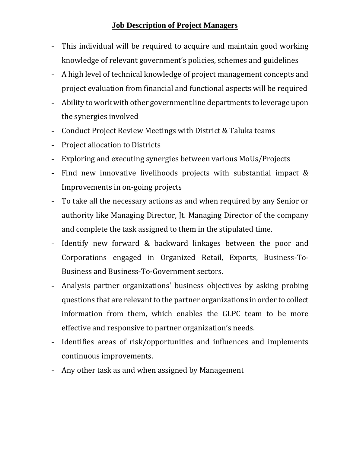- This individual will be required to acquire and maintain good working knowledge of relevant government's policies, schemes and guidelines
- A high level of technical knowledge of project management concepts and project evaluation from financial and functional aspects will be required
- Ability to work with other government line departments to leverage upon the synergies involved
- Conduct Project Review Meetings with District & Taluka teams
- Project allocation to Districts
- Exploring and executing synergies between various MoUs/Projects
- Find new innovative livelihoods projects with substantial impact & Improvements in on-going projects
- To take all the necessary actions as and when required by any Senior or authority like Managing Director, Jt. Managing Director of the company and complete the task assigned to them in the stipulated time.
- Identify new forward & backward linkages between the poor and Corporations engaged in Organized Retail, Exports, Business-To-Business and Business-To-Government sectors.
- Analysis partner organizations' business objectives by asking probing questions that are relevant to the partner organizations in order to collect information from them, which enables the GLPC team to be more effective and responsive to partner organization's needs.
- Identifies areas of risk/opportunities and influences and implements continuous improvements.
- Any other task as and when assigned by Management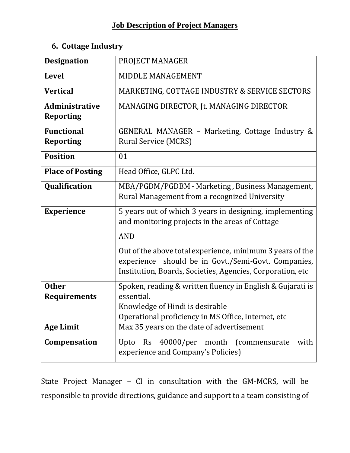# **6. Cottage Industry**

| <b>Designation</b>      | PROJECT MANAGER                                                                                            |
|-------------------------|------------------------------------------------------------------------------------------------------------|
| <b>Level</b>            | MIDDLE MANAGEMENT                                                                                          |
| <b>Vertical</b>         | MARKETING, COTTAGE INDUSTRY & SERVICE SECTORS                                                              |
| Administrative          | MANAGING DIRECTOR, Jt. MANAGING DIRECTOR                                                                   |
| <b>Reporting</b>        |                                                                                                            |
| <b>Functional</b>       | GENERAL MANAGER – Marketing, Cottage Industry $\&$                                                         |
| <b>Reporting</b>        | <b>Rural Service (MCRS)</b>                                                                                |
| <b>Position</b>         | 01                                                                                                         |
| <b>Place of Posting</b> | Head Office, GLPC Ltd.                                                                                     |
| Qualification           | MBA/PGDM/PGDBM - Marketing, Business Management,                                                           |
|                         | Rural Management from a recognized University                                                              |
| <b>Experience</b>       | 5 years out of which 3 years in designing, implementing<br>and monitoring projects in the areas of Cottage |
|                         | <b>AND</b>                                                                                                 |
|                         | Out of the above total experience, minimum 3 years of the                                                  |
|                         | experience should be in Govt./Semi-Govt. Companies,                                                        |
|                         | Institution, Boards, Societies, Agencies, Corporation, etc                                                 |
| <b>Other</b>            | Spoken, reading & written fluency in English & Gujarati is                                                 |
| <b>Requirements</b>     | essential.                                                                                                 |
|                         | Knowledge of Hindi is desirable                                                                            |
|                         | Operational proficiency in MS Office, Internet, etc                                                        |
| <b>Age Limit</b>        | Max 35 years on the date of advertisement                                                                  |
| Compensation            | 40000/per<br>month (commensurate<br>with<br><b>Rs</b><br>Upto                                              |
|                         | experience and Company's Policies)                                                                         |

State Project Manager – CI in consultation with the GM-MCRS, will be responsible to provide directions, guidance and support to a team consisting of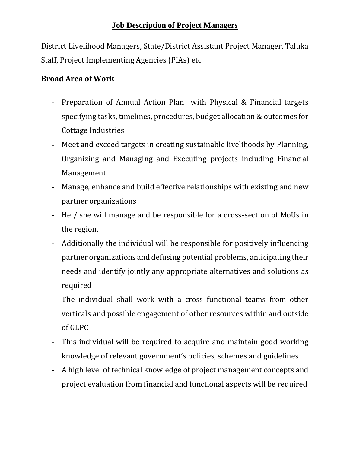District Livelihood Managers, State/District Assistant Project Manager, Taluka Staff, Project Implementing Agencies (PIAs) etc

- Preparation of Annual Action Plan with Physical & Financial targets specifying tasks, timelines, procedures, budget allocation & outcomes for Cottage Industries
- Meet and exceed targets in creating sustainable livelihoods by Planning, Organizing and Managing and Executing projects including Financial Management.
- Manage, enhance and build effective relationships with existing and new partner organizations
- He / she will manage and be responsible for a cross-section of MoUs in the region.
- Additionally the individual will be responsible for positively influencing partner organizations and defusing potential problems, anticipating their needs and identify jointly any appropriate alternatives and solutions as required
- The individual shall work with a cross functional teams from other verticals and possible engagement of other resources within and outside of GLPC
- This individual will be required to acquire and maintain good working knowledge of relevant government's policies, schemes and guidelines
- A high level of technical knowledge of project management concepts and project evaluation from financial and functional aspects will be required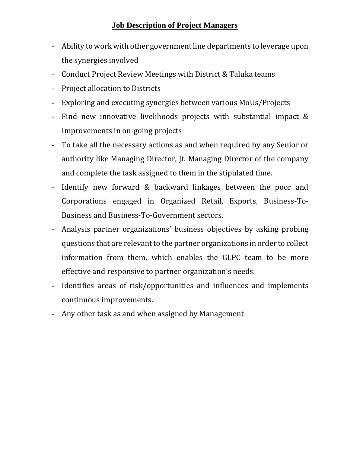- Ability to work with other government line departments to leverage upon the synergies involved
- Conduct Project Review Meetings with District & Taluka teams
- Project allocation to Districts
- Exploring and executing synergies between various MoUs/Projects
- Find new innovative livelihoods projects with substantial impact & Improvements in on-going projects
- To take all the necessary actions as and when required by any Senior or authority like Managing Director, Jt. Managing Director of the company and complete the task assigned to them in the stipulated time.
- Identify new forward & backward linkages between the poor and Corporations engaged in Organized Retail, Exports, Business-To-Business and Business-To-Government sectors.
- Analysis partner organizations' business objectives by asking probing questions that are relevant to the partner organizations in order to collect information from them, which enables the GLPC team to be more effective and responsive to partner organization's needs.
- Identifies areas of risk/opportunities and influences and implements continuous improvements.
- Any other task as and when assigned by Management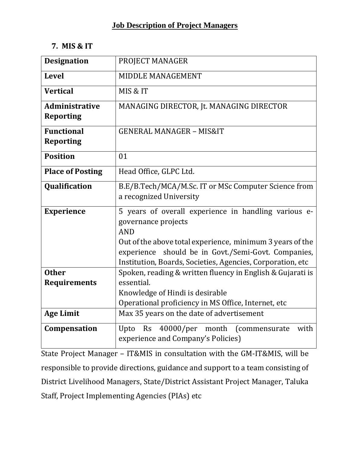#### **7. MIS & IT**

| <b>Designation</b>                        | PROJECT MANAGER                                                                                                                                                                                                                                                             |
|-------------------------------------------|-----------------------------------------------------------------------------------------------------------------------------------------------------------------------------------------------------------------------------------------------------------------------------|
| <b>Level</b>                              | MIDDLE MANAGEMENT                                                                                                                                                                                                                                                           |
| <b>Vertical</b>                           | MIS & IT                                                                                                                                                                                                                                                                    |
| <b>Administrative</b><br><b>Reporting</b> | MANAGING DIRECTOR, Jt. MANAGING DIRECTOR                                                                                                                                                                                                                                    |
| <b>Functional</b><br><b>Reporting</b>     | <b>GENERAL MANAGER - MIS&amp;IT</b>                                                                                                                                                                                                                                         |
| <b>Position</b>                           | 01                                                                                                                                                                                                                                                                          |
| <b>Place of Posting</b>                   | Head Office, GLPC Ltd.                                                                                                                                                                                                                                                      |
| Qualification                             | B.E/B.Tech/MCA/M.Sc. IT or MSc Computer Science from<br>a recognized University                                                                                                                                                                                             |
| <b>Experience</b>                         | 5 years of overall experience in handling various e-<br>governance projects<br><b>AND</b><br>Out of the above total experience, minimum 3 years of the<br>experience should be in Govt./Semi-Govt. Companies,<br>Institution, Boards, Societies, Agencies, Corporation, etc |
| <b>Other</b>                              | Spoken, reading & written fluency in English & Gujarati is                                                                                                                                                                                                                  |
| <b>Requirements</b>                       | essential.<br>Knowledge of Hindi is desirable<br>Operational proficiency in MS Office, Internet, etc                                                                                                                                                                        |
| <b>Age Limit</b>                          | Max 35 years on the date of advertisement                                                                                                                                                                                                                                   |
| Compensation                              | Upto Rs 40000/per month<br>(commensurate<br>with<br>experience and Company's Policies)                                                                                                                                                                                      |

State Project Manager – IT&MIS in consultation with the GM-IT&MIS, will be responsible to provide directions, guidance and support to a team consisting of District Livelihood Managers, State/District Assistant Project Manager, Taluka Staff, Project Implementing Agencies (PIAs) etc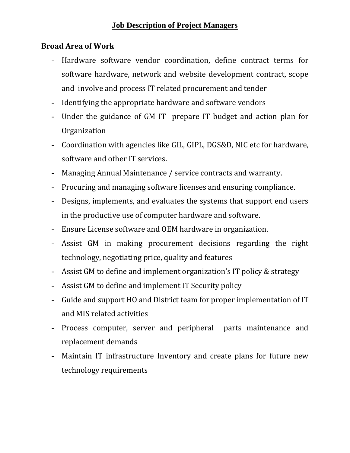- Hardware software vendor coordination, define contract terms for software hardware, network and website development contract, scope and involve and process IT related procurement and tender
- Identifying the appropriate hardware and software vendors
- Under the guidance of GM IT prepare IT budget and action plan for Organization
- Coordination with agencies like GIL, GIPL, DGS&D, NIC etc for hardware, software and other IT services.
- Managing Annual Maintenance / service contracts and warranty.
- Procuring and managing software licenses and ensuring compliance.
- Designs, implements, and evaluates the systems that support end users in the productive use of computer hardware and software.
- Ensure License software and OEM hardware in organization.
- Assist GM in making procurement decisions regarding the right technology, negotiating price, quality and features
- Assist GM to define and implement organization's IT policy & strategy
- Assist GM to define and implement IT Security policy
- Guide and support HO and District team for proper implementation of IT and MIS related activities
- Process computer, server and peripheral parts maintenance and replacement demands
- Maintain IT infrastructure Inventory and create plans for future new technology requirements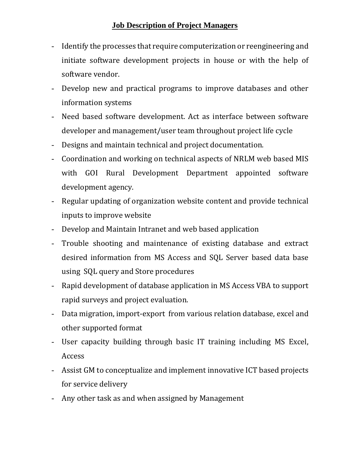- Identify the processes that require computerization or reengineering and initiate software development projects in house or with the help of software vendor.
- Develop new and practical programs to improve databases and other information systems
- Need based software development. Act as interface between software developer and management/user team throughout project life cycle
- Designs and maintain technical and project documentation.
- Coordination and working on technical aspects of NRLM web based MIS with GOI Rural Development Department appointed software development agency.
- Regular updating of organization website content and provide technical inputs to improve website
- Develop and Maintain Intranet and web based application
- Trouble shooting and maintenance of existing database and extract desired information from MS Access and SQL Server based data base using SQL query and Store procedures
- Rapid development of database application in MS Access VBA to support rapid surveys and project evaluation.
- Data migration, import-export from various relation database, excel and other supported format
- User capacity building through basic IT training including MS Excel, Access
- Assist GM to conceptualize and implement innovative ICT based projects for service delivery
- Any other task as and when assigned by Management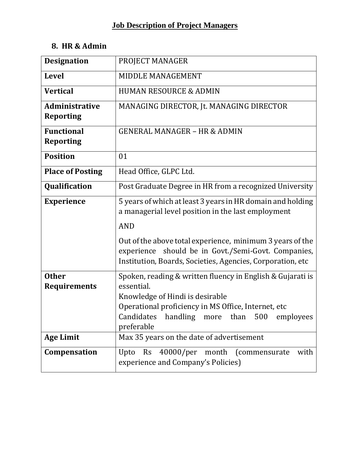# **8. HR & Admin**

| <b>Designation</b>                                      | PROJECT MANAGER                                                                                                                                                                                                                                                                                                     |
|---------------------------------------------------------|---------------------------------------------------------------------------------------------------------------------------------------------------------------------------------------------------------------------------------------------------------------------------------------------------------------------|
| <b>Level</b>                                            | <b>MIDDLE MANAGEMENT</b>                                                                                                                                                                                                                                                                                            |
| <b>Vertical</b>                                         | <b>HUMAN RESOURCE &amp; ADMIN</b>                                                                                                                                                                                                                                                                                   |
| <b>Administrative</b><br><b>Reporting</b>               | MANAGING DIRECTOR, Jt. MANAGING DIRECTOR                                                                                                                                                                                                                                                                            |
| <b>Functional</b><br><b>Reporting</b>                   | <b>GENERAL MANAGER - HR &amp; ADMIN</b>                                                                                                                                                                                                                                                                             |
| <b>Position</b>                                         | 01                                                                                                                                                                                                                                                                                                                  |
| <b>Place of Posting</b>                                 | Head Office, GLPC Ltd.                                                                                                                                                                                                                                                                                              |
| Qualification                                           | Post Graduate Degree in HR from a recognized University                                                                                                                                                                                                                                                             |
| <b>Experience</b>                                       | 5 years of which at least 3 years in HR domain and holding<br>a managerial level position in the last employment<br><b>AND</b><br>Out of the above total experience, minimum 3 years of the<br>should be in Govt./Semi-Govt. Companies,<br>experience<br>Institution, Boards, Societies, Agencies, Corporation, etc |
| <b>Other</b><br><b>Requirements</b><br><b>Age Limit</b> | Spoken, reading & written fluency in English & Gujarati is<br>essential.<br>Knowledge of Hindi is desirable<br>Operational proficiency in MS Office, Internet, etc<br>Candidates handling more than 500<br>employees<br>preferable<br>Max 35 years on the date of advertisement                                     |
| Compensation                                            | Upto Rs 40000/per month (commensurate<br>with<br>experience and Company's Policies)                                                                                                                                                                                                                                 |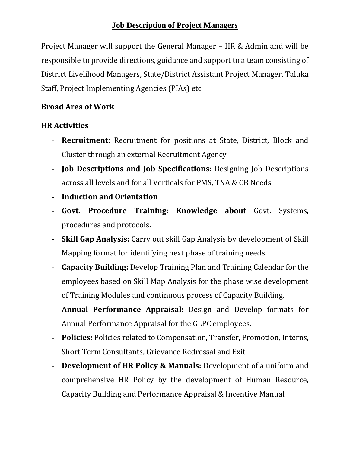Project Manager will support the General Manager – HR & Admin and will be responsible to provide directions, guidance and support to a team consisting of District Livelihood Managers, State/District Assistant Project Manager, Taluka Staff, Project Implementing Agencies (PIAs) etc

## **Broad Area of Work**

## **HR Activities**

- **Recruitment:** Recruitment for positions at State, District, Block and Cluster through an external Recruitment Agency
- **Job Descriptions and Job Specifications:** Designing Job Descriptions across all levels and for all Verticals for PMS, TNA & CB Needs
- **Induction and Orientation**
- **Govt. Procedure Training: Knowledge about** Govt. Systems, procedures and protocols.
- **Skill Gap Analysis:** Carry out skill Gap Analysis by development of Skill Mapping format for identifying next phase of training needs.
- **Capacity Building:** Develop Training Plan and Training Calendar for the employees based on Skill Map Analysis for the phase wise development of Training Modules and continuous process of Capacity Building.
- **Annual Performance Appraisal:** Design and Develop formats for Annual Performance Appraisal for the GLPC employees.
- **Policies:** Policies related to Compensation, Transfer, Promotion, Interns, Short Term Consultants, Grievance Redressal and Exit
- **Development of HR Policy & Manuals:** Development of a uniform and comprehensive HR Policy by the development of Human Resource, Capacity Building and Performance Appraisal & Incentive Manual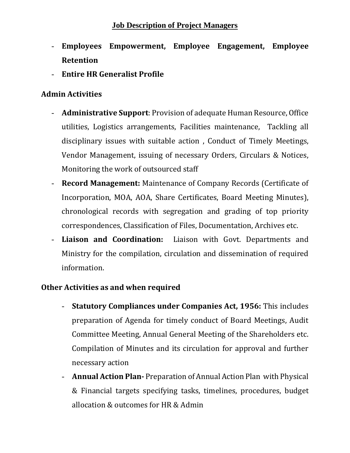- **Employees Empowerment, Employee Engagement, Employee Retention**
- **Entire HR Generalist Profile**

# **Admin Activities**

- **Administrative Support**: Provision of adequate Human Resource, Office utilities, Logistics arrangements, Facilities maintenance, Tackling all disciplinary issues with suitable action , Conduct of Timely Meetings, Vendor Management, issuing of necessary Orders, Circulars & Notices, Monitoring the work of outsourced staff
- **Record Management:** Maintenance of Company Records (Certificate of Incorporation, MOA, AOA, Share Certificates, Board Meeting Minutes), chronological records with segregation and grading of top priority correspondences, Classification of Files, Documentation, Archives etc.
- **Liaison and Coordination:** Liaison with Govt. Departments and Ministry for the compilation, circulation and dissemination of required information.

# **Other Activities as and when required**

- **Statutory Compliances under Companies Act, 1956:** This includes preparation of Agenda for timely conduct of Board Meetings, Audit Committee Meeting, Annual General Meeting of the Shareholders etc. Compilation of Minutes and its circulation for approval and further necessary action
- **Annual Action Plan-** Preparation of Annual Action Plan with Physical & Financial targets specifying tasks, timelines, procedures, budget allocation & outcomes for HR & Admin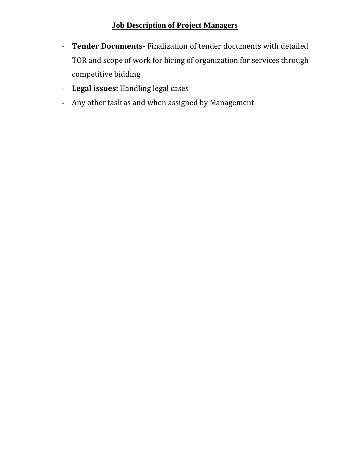- **Tender Documents-** Finalization of tender documents with detailed TOR and scope of work for hiring of organization for services through competitive bidding
- **Legal issues:** Handling legal cases
- Any other task as and when assigned by Management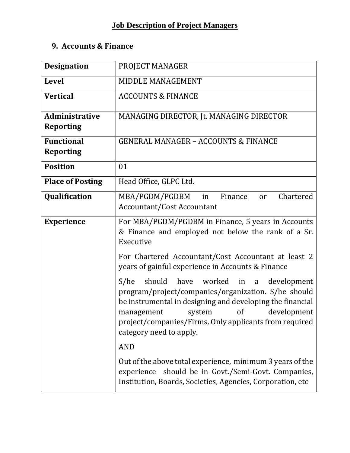# **9. Accounts & Finance**

| <b>Designation</b>                        | PROJECT MANAGER                                                                                                                                                                                                                                                                                                 |
|-------------------------------------------|-----------------------------------------------------------------------------------------------------------------------------------------------------------------------------------------------------------------------------------------------------------------------------------------------------------------|
| <b>Level</b>                              | MIDDLE MANAGEMENT                                                                                                                                                                                                                                                                                               |
| <b>Vertical</b>                           | <b>ACCOUNTS &amp; FINANCE</b>                                                                                                                                                                                                                                                                                   |
| <b>Administrative</b><br><b>Reporting</b> | MANAGING DIRECTOR, Jt. MANAGING DIRECTOR                                                                                                                                                                                                                                                                        |
| <b>Functional</b><br><b>Reporting</b>     | <b>GENERAL MANAGER - ACCOUNTS &amp; FINANCE</b>                                                                                                                                                                                                                                                                 |
| <b>Position</b>                           | 01                                                                                                                                                                                                                                                                                                              |
| <b>Place of Posting</b>                   | Head Office, GLPC Ltd.                                                                                                                                                                                                                                                                                          |
| Qualification                             | MBA/PGDM/PGDBM<br>Finance<br>Chartered<br>in<br>or<br><b>Accountant/Cost Accountant</b>                                                                                                                                                                                                                         |
| <b>Experience</b>                         | For MBA/PGDM/PGDBM in Finance, 5 years in Accounts<br>& Finance and employed not below the rank of a Sr.<br>Executive                                                                                                                                                                                           |
|                                           | For Chartered Accountant/Cost Accountant at least 2<br>years of gainful experience in Accounts & Finance                                                                                                                                                                                                        |
|                                           | should have worked in a<br>S/he<br>development<br>program/project/companies/organization. S/he should<br>be instrumental in designing and developing the financial<br><sub>of</sub><br>development<br>management<br>system<br>project/companies/Firms. Only applicants from required<br>category need to apply. |
|                                           | <b>AND</b>                                                                                                                                                                                                                                                                                                      |
|                                           | Out of the above total experience, minimum 3 years of the<br>experience should be in Govt./Semi-Govt. Companies,<br>Institution, Boards, Societies, Agencies, Corporation, etc                                                                                                                                  |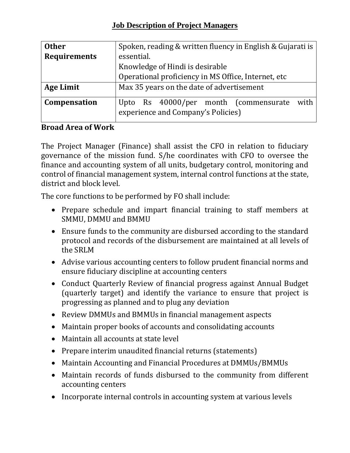| <b>Other</b>        | Spoken, reading & written fluency in English & Gujarati is                          |
|---------------------|-------------------------------------------------------------------------------------|
| <b>Requirements</b> | essential.                                                                          |
|                     | Knowledge of Hindi is desirable                                                     |
|                     | Operational proficiency in MS Office, Internet, etc                                 |
| <b>Age Limit</b>    | Max 35 years on the date of advertisement                                           |
| Compensation        | with<br>Upto Rs 40000/per month (commensurate<br>experience and Company's Policies) |

# **Broad Area of Work**

The Project Manager (Finance) shall assist the CFO in relation to fiduciary governance of the mission fund. S/he coordinates with CFO to oversee the finance and accounting system of all units, budgetary control, monitoring and control of financial management system, internal control functions at the state, district and block level.

The core functions to be performed by FO shall include:

- Prepare schedule and impart financial training to staff members at SMMU, DMMU and BMMU
- Ensure funds to the community are disbursed according to the standard protocol and records of the disbursement are maintained at all levels of the SRLM
- Advise various accounting centers to follow prudent financial norms and ensure fiduciary discipline at accounting centers
- Conduct Quarterly Review of financial progress against Annual Budget (quarterly target) and identify the variance to ensure that project is progressing as planned and to plug any deviation
- Review DMMUs and BMMUs in financial management aspects
- Maintain proper books of accounts and consolidating accounts
- Maintain all accounts at state level
- Prepare interim unaudited financial returns (statements)
- Maintain Accounting and Financial Procedures at DMMUs/BMMUs
- Maintain records of funds disbursed to the community from different accounting centers
- Incorporate internal controls in accounting system at various levels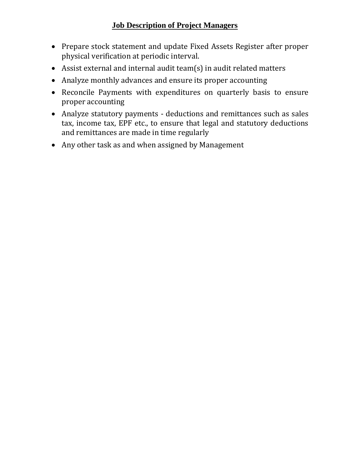- Prepare stock statement and update Fixed Assets Register after proper physical verification at periodic interval.
- Assist external and internal audit team(s) in audit related matters
- Analyze monthly advances and ensure its proper accounting
- Reconcile Payments with expenditures on quarterly basis to ensure proper accounting
- Analyze statutory payments deductions and remittances such as sales tax, income tax, EPF etc., to ensure that legal and statutory deductions and remittances are made in time regularly
- Any other task as and when assigned by Management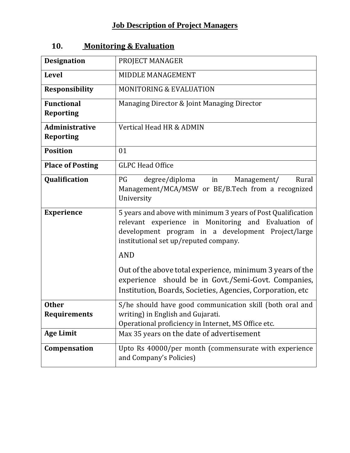| <b>Designation</b>                        | PROJECT MANAGER                                                                                                                                                                                                    |
|-------------------------------------------|--------------------------------------------------------------------------------------------------------------------------------------------------------------------------------------------------------------------|
| <b>Level</b>                              | MIDDLE MANAGEMENT                                                                                                                                                                                                  |
| <b>Responsibility</b>                     | <b>MONITORING &amp; EVALUATION</b>                                                                                                                                                                                 |
| <b>Functional</b><br><b>Reporting</b>     | Managing Director & Joint Managing Director                                                                                                                                                                        |
| <b>Administrative</b><br><b>Reporting</b> | Vertical Head HR & ADMIN                                                                                                                                                                                           |
| <b>Position</b>                           | 01                                                                                                                                                                                                                 |
| <b>Place of Posting</b>                   | <b>GLPC Head Office</b>                                                                                                                                                                                            |
| Qualification                             | Rural<br>PG<br>degree/diploma<br>in<br>Management/<br>Management/MCA/MSW or BE/B.Tech from a recognized<br>University                                                                                              |
| <b>Experience</b>                         | 5 years and above with minimum 3 years of Post Qualification<br>relevant experience in Monitoring and Evaluation of<br>development program in a development Project/large<br>institutional set up/reputed company. |
|                                           | <b>AND</b>                                                                                                                                                                                                         |
|                                           | Out of the above total experience, minimum 3 years of the<br>experience should be in Govt./Semi-Govt. Companies,<br>Institution, Boards, Societies, Agencies, Corporation, etc.                                    |
| <b>Other</b><br><b>Requirements</b>       | S/he should have good communication skill (both oral and<br>writing) in English and Gujarati.<br>Operational proficiency in Internet, MS Office etc.                                                               |
| <b>Age Limit</b>                          | Max 35 years on the date of advertisement                                                                                                                                                                          |
| Compensation                              | Upto Rs 40000/per month (commensurate with experience<br>and Company's Policies)                                                                                                                                   |

# **10. Monitoring & Evaluation**